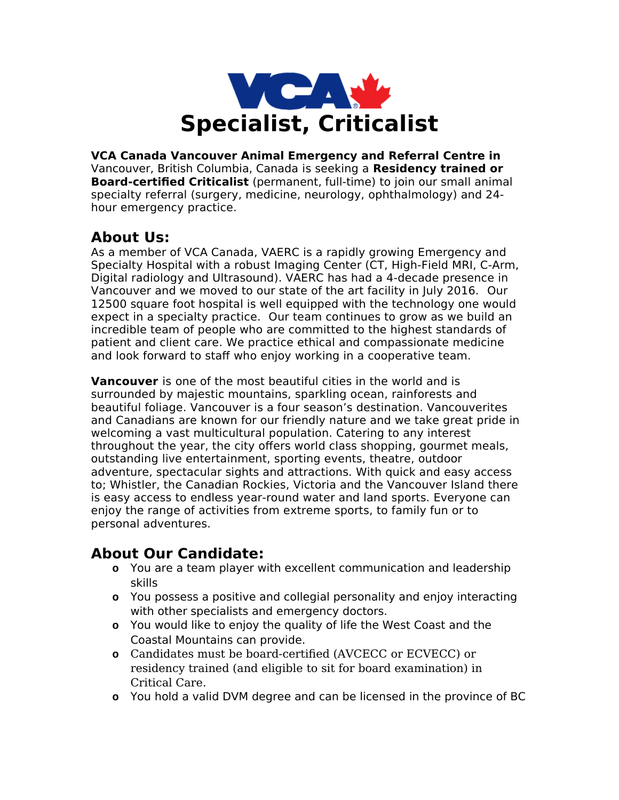

**VCA Canada Vancouver Animal Emergency and Referral Centre in**  Vancouver, British Columbia, Canada is seeking a **Residency trained or Board-certified Criticalist** (permanent, full-time) to join our small animal specialty referral (surgery, medicine, neurology, ophthalmology) and 24 hour emergency practice.

## **About Us:**

As a member of VCA Canada, VAERC is a rapidly growing Emergency and Specialty Hospital with a robust Imaging Center (CT, High-Field MRI, C-Arm, Digital radiology and Ultrasound). VAERC has had a 4-decade presence in Vancouver and we moved to our state of the art facility in July 2016. Our 12500 square foot hospital is well equipped with the technology one would expect in a specialty practice. Our team continues to grow as we build an incredible team of people who are committed to the highest standards of patient and client care. We practice ethical and compassionate medicine and look forward to staff who enjoy working in a cooperative team.

**Vancouver** is one of the most beautiful cities in the world and is surrounded by majestic mountains, sparkling ocean, rainforests and beautiful foliage. Vancouver is a four season's destination. Vancouverites and Canadians are known for our friendly nature and we take great pride in welcoming a vast multicultural population. Catering to any interest throughout the year, the city offers world class shopping, gourmet meals, outstanding live entertainment, sporting events, theatre, outdoor adventure, spectacular sights and attractions. With quick and easy access to; Whistler, the Canadian Rockies, Victoria and the Vancouver Island there is easy access to endless year-round water and land sports. Everyone can enjoy the range of activities from extreme sports, to family fun or to personal adventures.

### **About Our Candidate:**

- **o** You are a team player with excellent communication and leadership skills
- **o** You possess a positive and collegial personality and enjoy interacting with other specialists and emergency doctors.
- **o** You would like to enjoy the quality of life the West Coast and the Coastal Mountains can provide.
- **o** Candidates must be board-certified (AVCECC or ECVECC) or residency trained (and eligible to sit for board examination) in Critical Care.
- **o** You hold a valid DVM degree and can be licensed in the province of BC